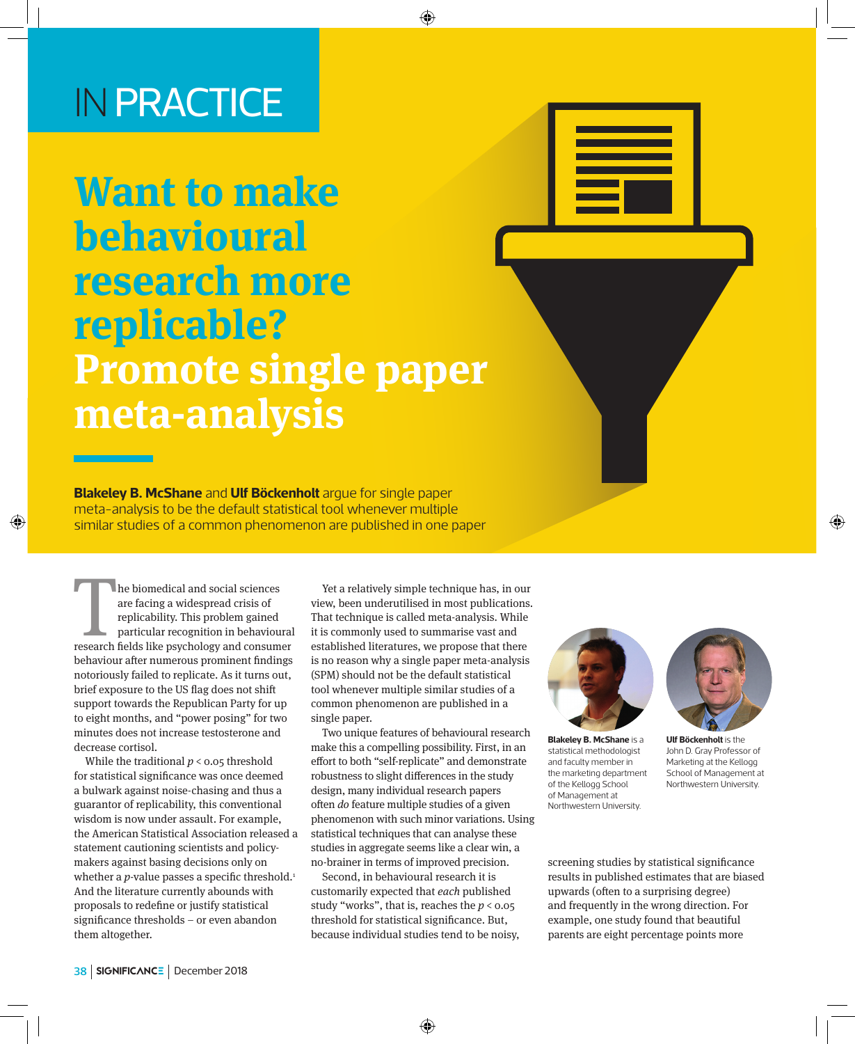# **IN PRACTICE**

**Want to make behavioural research more replicable? Promote single paper meta-analysis**

**Blakeley B. McShane** and **Ulf Böckenholt** argue for single paper meta-analysis to be the default statistical tool whenever multiple similar studies of a common phenomenon are published in one paper

The biomedical and social sciences<br>
are facing a widespread crisis of<br>
replicability. This problem gained<br>
particular recognition in behavioural<br>
research fields like psychology and consumer are facing a widespread crisis of replicability. This problem gained particular recognition in behavioural behaviour after numerous prominent findings notoriously failed to replicate. As it turns out, brief exposure to the US flag does not shift support towards the Republican Party for up to eight months, and "power posing" for two minutes does not increase testosterone and decrease cortisol.

While the traditional  $p < 0.05$  threshold for statistical significance was once deemed a bulwark against noise-chasing and thus a guarantor of replicability, this conventional wisdom is now under assault. For example, the American Statistical Association released a statement cautioning scientists and policymakers against basing decisions only on whether a  $p$ -value passes a specific threshold.<sup>1</sup> And the literature currently abounds with proposals to redefine or justify statistical significance thresholds – or even abandon them altogether.

Yet a relatively simple technique has, in our view, been underutilised in most publications. That technique is called meta-analysis. While it is commonly used to summarise vast and established literatures, we propose that there is no reason why a single paper meta-analysis (SPM) should not be the default statistical tool whenever multiple similar studies of a common phenomenon are published in a single paper.

Two unique features of behavioural research make this a compelling possibility. First, in an effort to both "self-replicate" and demonstrate robustness to slight differences in the study design, many individual research papers often do feature multiple studies of a given phenomenon with such minor variations. Using statistical techniques that can analyse these studies in aggregate seems like a clear win, a no-brainer in terms of improved precision.

Second, in behavioural research it is customarily expected that each published study "works", that is, reaches the  $p < 0.05$ threshold for statistical significance. But, because individual studies tend to be noisy,



**Blakeley B. McShane** is a statistical methodologist and faculty member in the marketing department of the Kellogg School of Management at Northwestern University.

**Ulf Böckenholt** is the John D. Gray Professor of Marketing at the Kellogg School of Management at

Northwestern University.

screening studies by statistical significance results in published estimates that are biased upwards (often to a surprising degree) and frequently in the wrong direction. For example, one study found that beautiful parents are eight percentage points more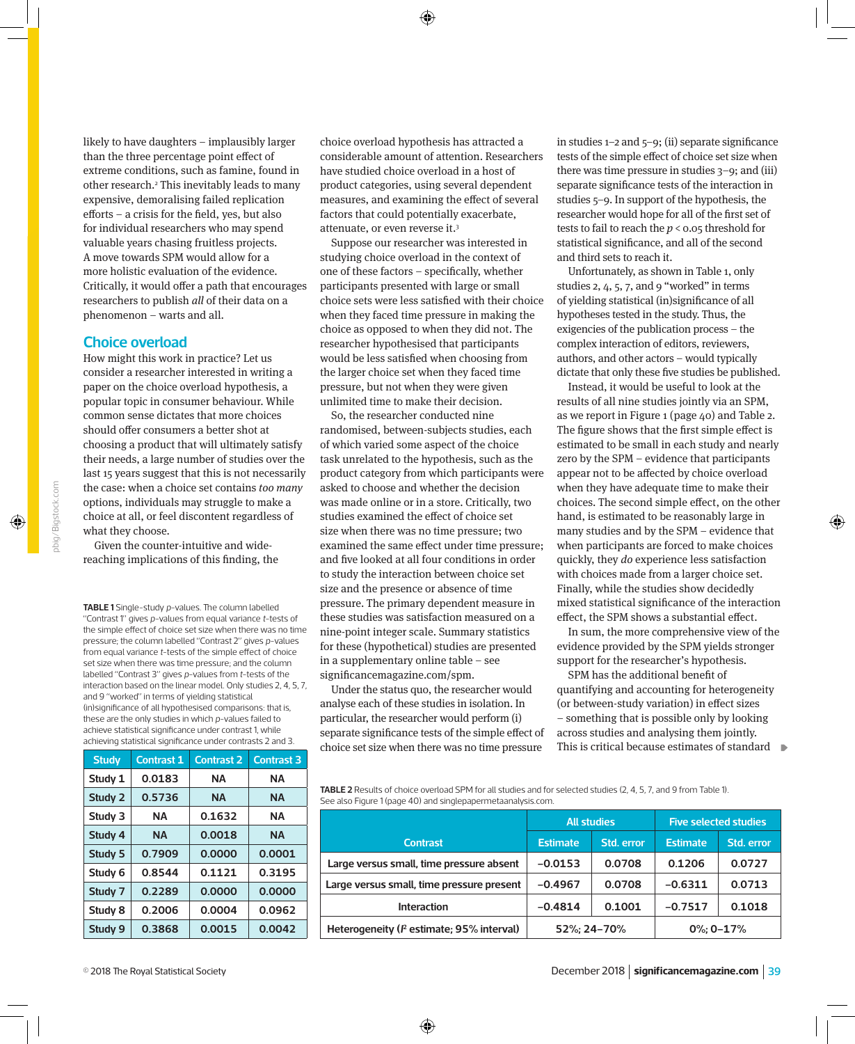likely to have daughters – implausibly larger than the three percentage point effect of extreme conditions, such as famine, found in other research.<sup>2</sup> This inevitably leads to many expensive, demoralising failed replication efforts – a crisis for the field, yes, but also for individual researchers who may spend valuable years chasing fruitless projects. A move towards SPM would allow for a more holistic evaluation of the evidence. Critically, it would offer a path that encourages researchers to publish all of their data on a phenomenon – warts and all.

### **Choice overload**

How might this work in practice? Let us consider a researcher interested in writing a paper on the choice overload hypothesis, a popular topic in consumer behaviour. While common sense dictates that more choices should offer consumers a better shot at choosing a product that will ultimately satisfy their needs, a large number of studies over the last 15 years suggest that this is not necessarily the case: when a choice set contains too many options, individuals may struggle to make a choice at all, or feel discontent regardless of what they choose.

Given the counter-intuitive and widereaching implications of this finding, the

**TABLE 1** Single-study *p*-values. The column labelled "Contrast 1" gives *p*-values from equal variance *t*-tests of the simple effect of choice set size when there was no time pressure; the column labelled "Contrast 2" gives *p*-values from equal variance *t*-tests of the simple effect of choice set size when there was time pressure; and the column labelled "Contrast 3" gives *p*-values from *t*-tests of the interaction based on the linear model. Only studies 2, 4, 5, 7, and 9 "worked" in terms of yielding statistical (in)significance of all hypothesised comparisons: that is, these are the only studies in which *p*-values failed to achieve statistical significance under contrast 1, while achieving statistical significance under contrasts 2 and 3.

|  | <b>Study</b> | <b>Contrast 1</b> | <b>Contrast 2</b> | <b>Contrast 3</b> |  |
|--|--------------|-------------------|-------------------|-------------------|--|
|  | Study 1      | 0.0183            | <b>NA</b>         | <b>NA</b>         |  |
|  | Study 2      | 0.5736            | <b>NA</b>         | <b>NA</b>         |  |
|  | Study 3      | ΝA                | 0.1632            | ΝA                |  |
|  | Study 4      | <b>NA</b>         | 0.0018            | <b>NA</b>         |  |
|  | Study 5      | 0.7909            | 0.0000            | 0.0001            |  |
|  | Study 6      | 0.8544            | 0.1121            | 0.3195            |  |
|  | Study 7      | 0.2289            | 0.0000            | 0.0000            |  |
|  | Study 8      | 0.2006            | 0.0004            | 0.0962            |  |
|  | Study 9      | 0.3868            | 0.0015            | 0.0042            |  |

choice overload hypothesis has attracted a considerable amount of attention. Researchers have studied choice overload in a host of product categories, using several dependent measures, and examining the effect of several factors that could potentially exacerbate, attenuate, or even reverse it.3

Suppose our researcher was interested in studying choice overload in the context of one of these factors – specifically, whether participants presented with large or small choice sets were less satisfied with their choice when they faced time pressure in making the choice as opposed to when they did not. The researcher hypothesised that participants would be less satisfied when choosing from the larger choice set when they faced time pressure, but not when they were given unlimited time to make their decision.

So, the researcher conducted nine randomised, between-subjects studies, each of which varied some aspect of the choice task unrelated to the hypothesis, such as the product category from which participants were asked to choose and whether the decision was made online or in a store. Critically, two studies examined the effect of choice set size when there was no time pressure; two examined the same effect under time pressure; and five looked at all four conditions in order to study the interaction between choice set size and the presence or absence of time pressure. The primary dependent measure in these studies was satisfaction measured on a nine-point integer scale. Summary statistics for these (hypothetical) studies are presented in a supplementary online table – see significancemagazine.com/spm.

Under the status quo, the researcher would analyse each of these studies in isolation. In particular, the researcher would perform (i) separate significance tests of the simple effect of choice set size when there was no time pressure

in studies  $1-2$  and  $5-9$ ; (ii) separate significance tests of the simple effect of choice set size when there was time pressure in studies  $3-9$ ; and (iii) separate significance tests of the interaction in studies 5–9. In support of the hypothesis, the researcher would hope for all of the first set of tests to fail to reach the  $p < 0.05$  threshold for statistical significance, and all of the second and third sets to reach it.

Unfortunately, as shown in Table 1, only studies 2, 4, 5, 7, and 9 "worked" in terms of yielding statistical (in)significance of all hypotheses tested in the study. Thus, the exigencies of the publication process – the complex interaction of editors, reviewers, authors, and other actors – would typically dictate that only these five studies be published.

Instead, it would be useful to look at the results of all nine studies jointly via an SPM, as we report in Figure 1 (page 40) and Table 2. The figure shows that the first simple effect is estimated to be small in each study and nearly zero by the SPM – evidence that participants appear not to be affected by choice overload when they have adequate time to make their choices. The second simple effect, on the other hand, is estimated to be reasonably large in many studies and by the SPM – evidence that when participants are forced to make choices quickly, they do experience less satisfaction with choices made from a larger choice set. Finally, while the studies show decidedly mixed statistical significance of the interaction effect, the SPM shows a substantial effect.

In sum, the more comprehensive view of the evidence provided by the SPM yields stronger support for the researcher's hypothesis.

SPM has the additional benefit of quantifying and accounting for heterogeneity (or between-study variation) in effect sizes – something that is possible only by looking across studies and analysing them jointly. This is critical because estimates of standard

**TABLE 2** Results of choice overload SPM for all studies and for selected studies (2, 4, 5, 7, and 9 from Table 1). See also Figure 1 (page 40) and singlepapermetaanalysis.com.

|                                             | <b>All studies</b> |            | <b>Five selected studies</b> |            |
|---------------------------------------------|--------------------|------------|------------------------------|------------|
| <b>Contrast</b>                             | <b>Estimate</b>    | Std. error | <b>Estimate</b>              | Std. error |
| Large versus small, time pressure absent    | $-0.0153$          | 0.0708     | 0.1206                       | 0.0727     |
| Large versus small, time pressure present   | $-0.4967$          | 0.0708     | $-0.6311$                    | 0.0713     |
| <b>Interaction</b>                          | $-0.4814$          | 0.1001     | $-0.7517$                    | 0.1018     |
| Heterogeneity ( $P$ estimate; 95% interval) | 52%: 24-70%        |            | $0\%: 0-17\%$                |            |